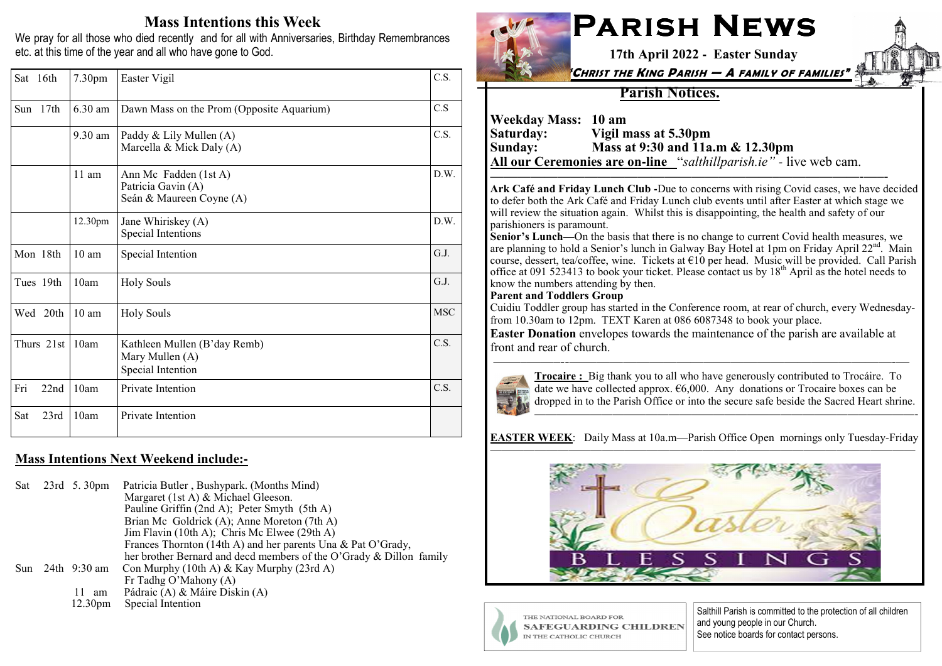## Mass Intentions this Week

 We pray for all those who died recently and for all with Anniversaries, Birthday Remembrances etc. at this time of the year and all who have gone to God.

| Sat 16th    | 7.30pm            | Easter Vigil                                                            | C.S.       |
|-------------|-------------------|-------------------------------------------------------------------------|------------|
| 17th<br>Sun | 6.30 am           | Dawn Mass on the Prom (Opposite Aquarium)                               | C.S        |
|             | $9.30 \text{ am}$ | Paddy & Lily Mullen (A)<br>Marcella & Mick Daly (A)                     | C.S.       |
|             | $11$ am           | Ann Mc Fadden (1st A)<br>Patricia Gavin (A)<br>Seán & Maureen Coyne (A) | D.W.       |
|             | 12.30pm           | Jane Whiriskey (A)<br>Special Intentions                                | D.W.       |
| Mon 18th    | $10 \text{ am}$   | Special Intention                                                       | G.J.       |
| Tues 19th   | 10am              | <b>Holy Souls</b>                                                       | G.J.       |
| Wed 20th    | $10 \text{ am}$   | <b>Holy Souls</b>                                                       | <b>MSC</b> |
| Thurs 21st  | 10am              | Kathleen Mullen (B'day Remb)<br>Mary Mullen (A)<br>Special Intention    | C.S.       |
| Fri<br>22nd | 10am              | Private Intention                                                       | C.S.       |
| 23rd<br>Sat | 10am              | Private Intention                                                       |            |

### Mass Intentions Next Weekend include:**-**

Sat 23rd 5. 30pm Patricia Butler , Bushypark. (Months Mind) Margaret (1st A) & Michael Gleeson. Pauline Griffin (2nd A); Peter Smyth (5th A) Brian Mc Goldrick (A); Anne Moreton (7th A) Jim Flavin (10th A); Chris Mc Elwee (29th A) Frances Thornton (14th A) and her parents Una & Pat O'Grady, her brother Bernard and decd members of the O'Grady & Dillon familySun 24th 9:30 am Con Murphy (10th A) & Kay Murphy (23rd A) Fr Tadhg O'Mahony (A) 11 am Pádraic (A) & Máire Diskin (A)12.30pm Special Intention



# PARISH NEWS 17th April 2022 **-** Easter Sunday

"CHRIST THE KING PARISH — A FAMILY OF FAMILIES"

### Parish Notices.

Weekday Mass: 10 am<br>Saturday: Vigil n Saturday: Vigil mass at 5.30pm Sunday: Mass at 9:30 and 11a.m & 12.30pm All our Ceremonies are on**-**line "salthillparish.ie" *-* live web cam.

 Ark Café and Friday Lunch Club **-**Due to concerns with rising Covid cases, we have decided to defer both the Ark Café and Friday Lunch club events until after Easter at which stage we will review the situation again. Whilst this is disappointing, the health and safety of our parishioners is paramount.

—————————————————————–——————-—–-

 Senior's Lunch**—**On the basis that there is no change to current Covid health measures, we are planning to hold a Senior's lunch in Galway Bay Hotel at 1pm on Friday April 22<sup>nd</sup>. Main course, dessert, tea/coffee, wine. Tickets at €10 per head. Music will be provided. Call Parish office at 091 523413 to book your ticket. Please contact us by  $18<sup>th</sup>$  April as the hotel needs to know the numbers attending by then.

#### Parent and Toddlers Group

 Cuidiu Toddler group has started in the Conference room, at rear of church, every Wednesdayfrom 10.30am to 12pm. TEXT Karen at 086 6087348 to book your place.

 Easter Donation envelopes towards the maintenance of the parish are available atfront and rear of church.

——–——–--————————————————————————-—



 Trocaire : Big thank you to all who have generously contributed to Trocáire. To date we have collected approx.  $66,000$ . Any donations or Trocaire boxes can be dropped in to the Parish Office or into the secure safe beside the Sacred Heart shrine.

——————————————————————————————————-

EASTER WEEK: Daily Mass at 10a.m—Parish Office Open mornings only Tuesday-Friday





Salthill Parish is committed to the protection of all children and young people in our Church. See notice boards for contact persons.